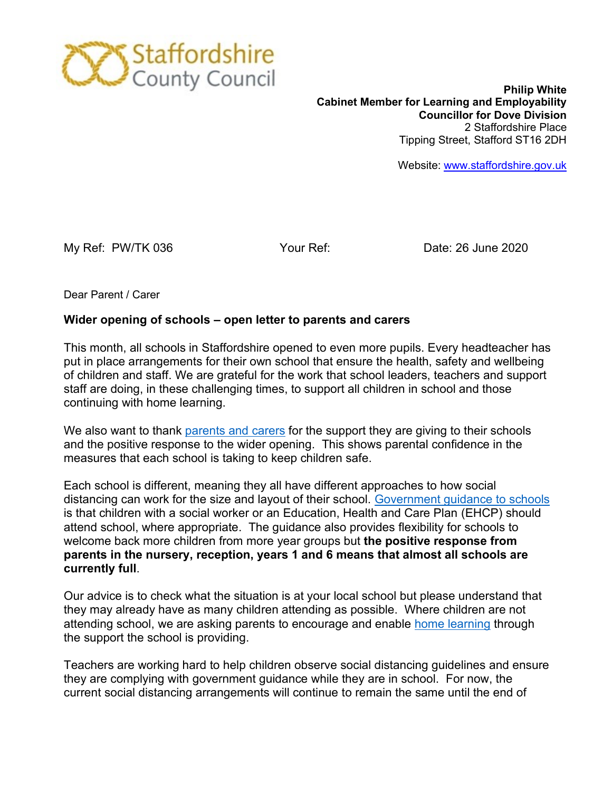

Website: www.staffordshire.gov.uk

My Ref: PW/TK 036 Your Ref: Date: 26 June 2020

Dear Parent / Carer

## **Wider opening of schools – open letter to parents and carers**

This month, all schools in Staffordshire opened to even more pupils. Every headteacher has put in place arrangements for their own school that ensure the health, safety and wellbeing of children and staff. We are grateful for the work that school leaders, teachers and support staff are doing, in these challenging times, to support all children in school and those continuing with home learning.

We also want to thank parents and carers for the support they are giving to their schools and the positive response to the wider opening. This shows parental confidence in the measures that each school is taking to keep children safe.

Each school is different, meaning they all have different approaches to how social distancing can work for the size and layout of their school. Government guidance to schools is that children with a social worker or an Education, Health and Care Plan (EHCP) should attend school, where appropriate. The guidance also provides flexibility for schools to welcome back more children from more year groups but **the positive response from parents in the nursery, reception, years 1 and 6 means that almost all schools are currently full**.

Our advice is to check what the situation is at your local school but please understand that they may already have as many children attending as possible. Where children are not attending school, we are asking parents to encourage and enable home learning through the support the school is providing.

Teachers are working hard to help children observe social distancing guidelines and ensure they are complying with government guidance while they are in school. For now, the current social distancing arrangements will continue to remain the same until the end of